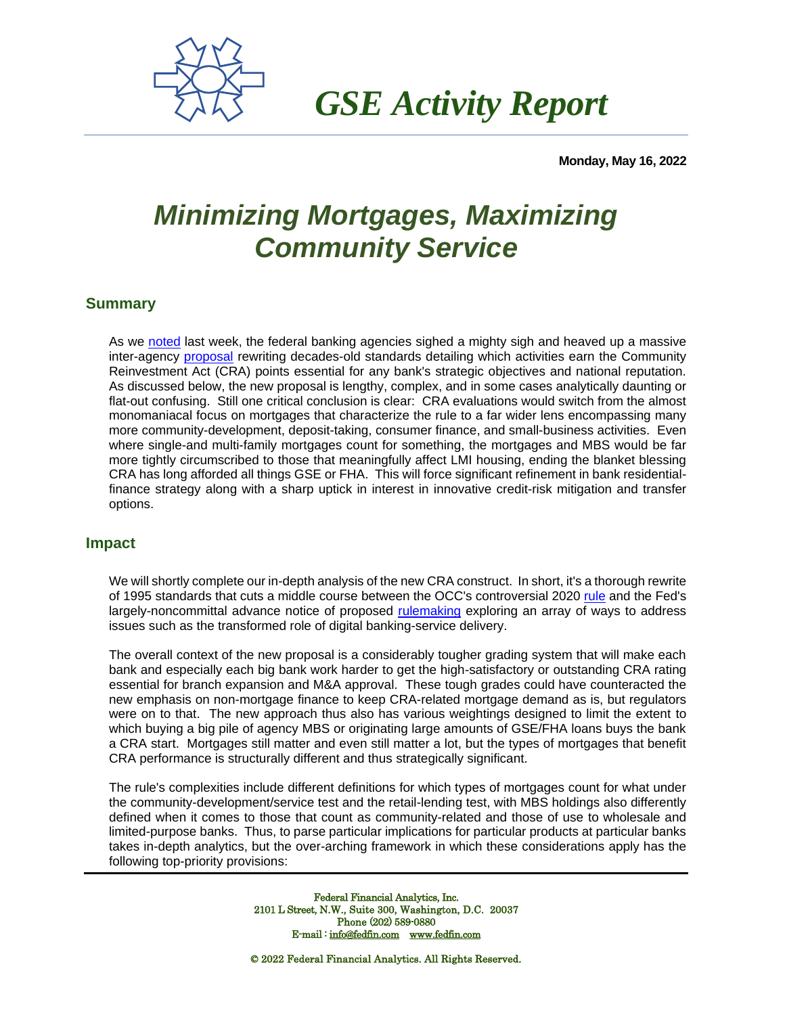

 *GSE Activity Report*

**Monday, May 16, 2022**

## *Minimizing Mortgages, Maximizing Community Service*

## **Summary**

As we [noted](https://fedfin.com/wp-content/uploads/2022/05/CRA31.pdf) last week, the federal banking agencies sighed a mighty sigh and heaved up a massive inter-agency [proposal](https://www.fdic.gov/news/board-matters/2022/2022-05-05-notice-dis-a-fr.pdf?source=govdelivery&utm_medium=email&utm_source=govdelivery) rewriting decades-old standards detailing which activities earn the Community Reinvestment Act (CRA) points essential for any bank's strategic objectives and national reputation. As discussed below, the new proposal is lengthy, complex, and in some cases analytically daunting or flat-out confusing. Still one critical conclusion is clear: CRA evaluations would switch from the almost monomaniacal focus on mortgages that characterize the rule to a far wider lens encompassing many more community-development, deposit-taking, consumer finance, and small-business activities. Even where single-and multi-family mortgages count for something, the mortgages and MBS would be far more tightly circumscribed to those that meaningfully affect LMI housing, ending the blanket blessing CRA has long afforded all things GSE or FHA. This will force significant refinement in bank residentialfinance strategy along with a sharp uptick in interest in innovative credit-risk mitigation and transfer options.

## **Impact**

We will shortly complete our in-depth analysis of the new CRA construct. In short, it's a thorough rewrite of 1995 standards that cuts a middle course between the OCC's controversial 2020 [rule](https://fedfin.com/wp-content/uploads/2020/11/GSE-110220.pdf) and the Fed's largely-noncommittal advance notice of proposed [rulemaking](https://fedfin.com/wp-content/uploads/2021/01/GSE-010421.pdf) exploring an array of ways to address issues such as the transformed role of digital banking-service delivery.

The overall context of the new proposal is a considerably tougher grading system that will make each bank and especially each big bank work harder to get the high-satisfactory or outstanding CRA rating essential for branch expansion and M&A approval. These tough grades could have counteracted the new emphasis on non-mortgage finance to keep CRA-related mortgage demand as is, but regulators were on to that. The new approach thus also has various weightings designed to limit the extent to which buying a big pile of agency MBS or originating large amounts of GSE/FHA loans buys the bank a CRA start. Mortgages still matter and even still matter a lot, but the types of mortgages that benefit CRA performance is structurally different and thus strategically significant.

The rule's complexities include different definitions for which types of mortgages count for what under the community-development/service test and the retail-lending test, with MBS holdings also differently defined when it comes to those that count as community-related and those of use to wholesale and limited-purpose banks. Thus, to parse particular implications for particular products at particular banks takes in-depth analytics, but the over-arching framework in which these considerations apply has the following top-priority provisions:

> Federal Financial Analytics, Inc. 2101 L Street, N.W., Suite 300, Washington, D.C. 20037 Phone (202) 589-0880 E-mail [: info@fedfin.com](mailto:info@fedfin.com) [www.fedfin.com](http://www.fedfin.com/)